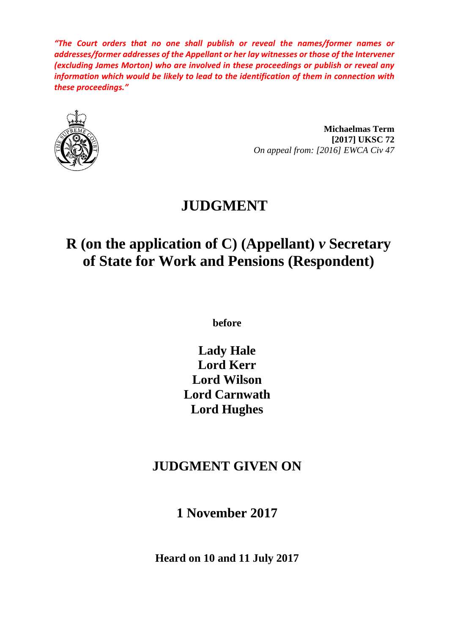*"The Court orders that no one shall publish or reveal the names/former names or addresses/former addresses of the Appellant or her lay witnesses or those of the Intervener (excluding James Morton) who are involved in these proceedings or publish or reveal any information which would be likely to lead to the identification of them in connection with these proceedings."*



**Michaelmas Term [2017] UKSC 72** *On appeal from: [2016] EWCA Civ 47*

# **JUDGMENT**

# **R (on the application of C) (Appellant)** *v* **Secretary of State for Work and Pensions (Respondent)**

**before** 

**Lady Hale Lord Kerr Lord Wilson Lord Carnwath Lord Hughes**

# **JUDGMENT GIVEN ON**

**1 November 2017**

**Heard on 10 and 11 July 2017**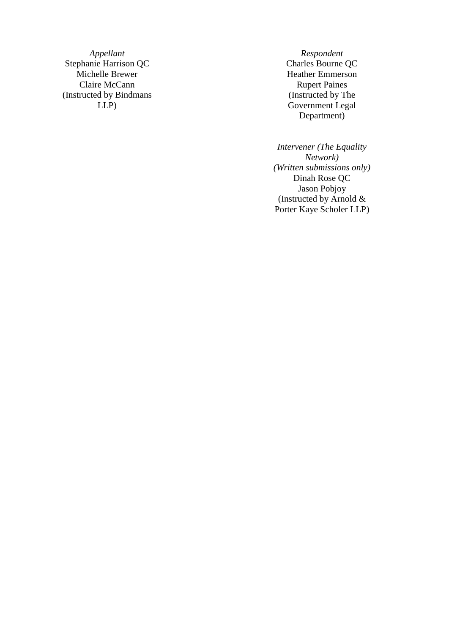Stephanie Harrison QC Michelle Brewer Heather Emmerson<br>
Claire McCann<br>
Rupert Paines Claire McCann (Instructed by Bindmans LLP )

*Appellant Respondent*<br> **A** *Respondent*<br> **Charles Bourne QC** (Instructed by The Government Legal Department )

> *Intervener (The Equality Network) (Written submissions only)* Dinah Rose QC Jason Pobjoy (Instructed by Arnold & Porter Kaye Scholer LLP )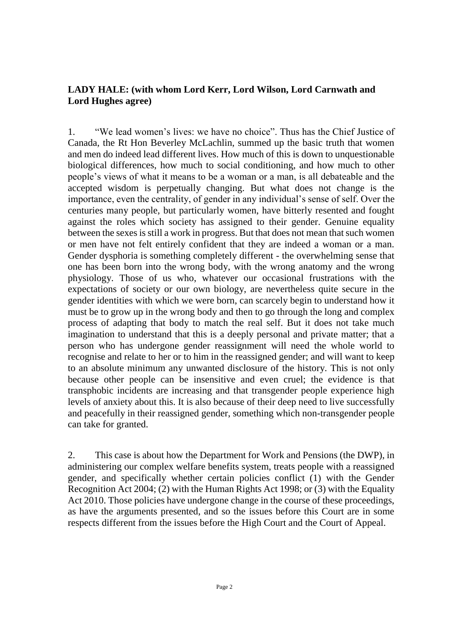### **LADY HALE: (with whom Lord Kerr, Lord Wilson, Lord Carnwath and Lord Hughes agree)**

1. "We lead women's lives: we have no choice". Thus has the Chief Justice of Canada, the Rt Hon Beverley McLachlin, summed up the basic truth that women and men do indeed lead different lives. How much of this is down to unquestionable biological differences, how much to social conditioning, and how much to other people's views of what it means to be a woman or a man, is all debateable and the accepted wisdom is perpetually changing. But what does not change is the importance, even the centrality, of gender in any individual's sense of self. Over the centuries many people, but particularly women, have bitterly resented and fought against the roles which society has assigned to their gender. Genuine equality between the sexes is still a work in progress. But that does not mean that such women or men have not felt entirely confident that they are indeed a woman or a man. Gender dysphoria is something completely different - the overwhelming sense that one has been born into the wrong body, with the wrong anatomy and the wrong physiology. Those of us who, whatever our occasional frustrations with the expectations of society or our own biology, are nevertheless quite secure in the gender identities with which we were born, can scarcely begin to understand how it must be to grow up in the wrong body and then to go through the long and complex process of adapting that body to match the real self. But it does not take much imagination to understand that this is a deeply personal and private matter; that a person who has undergone gender reassignment will need the whole world to recognise and relate to her or to him in the reassigned gender; and will want to keep to an absolute minimum any unwanted disclosure of the history. This is not only because other people can be insensitive and even cruel; the evidence is that transphobic incidents are increasing and that transgender people experience high levels of anxiety about this. It is also because of their deep need to live successfully and peacefully in their reassigned gender, something which non-transgender people can take for granted.

2. This case is about how the Department for Work and Pensions (the DWP), in administering our complex welfare benefits system, treats people with a reassigned gender, and specifically whether certain policies conflict (1) with the Gender Recognition Act 2004; (2) with the Human Rights Act 1998; or (3) with the Equality Act 2010. Those policies have undergone change in the course of these proceedings, as have the arguments presented, and so the issues before this Court are in some respects different from the issues before the High Court and the Court of Appeal.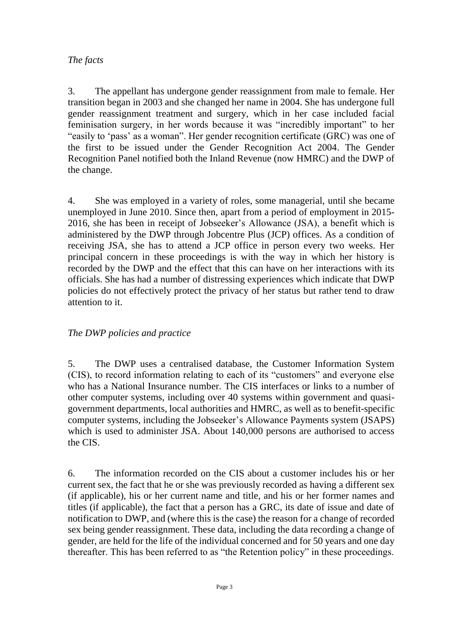#### *The facts*

3. The appellant has undergone gender reassignment from male to female. Her transition began in 2003 and she changed her name in 2004. She has undergone full gender reassignment treatment and surgery, which in her case included facial feminisation surgery, in her words because it was "incredibly important" to her "easily to 'pass' as a woman". Her gender recognition certificate (GRC) was one of the first to be issued under the Gender Recognition Act 2004. The Gender Recognition Panel notified both the Inland Revenue (now HMRC) and the DWP of the change.

4. She was employed in a variety of roles, some managerial, until she became unemployed in June 2010. Since then, apart from a period of employment in 2015- 2016, she has been in receipt of Jobseeker's Allowance (JSA), a benefit which is administered by the DWP through Jobcentre Plus (JCP) offices. As a condition of receiving JSA, she has to attend a JCP office in person every two weeks. Her principal concern in these proceedings is with the way in which her history is recorded by the DWP and the effect that this can have on her interactions with its officials. She has had a number of distressing experiences which indicate that DWP policies do not effectively protect the privacy of her status but rather tend to draw attention to it.

# *The DWP policies and practice*

5. The DWP uses a centralised database, the Customer Information System (CIS), to record information relating to each of its "customers" and everyone else who has a National Insurance number. The CIS interfaces or links to a number of other computer systems, including over 40 systems within government and quasigovernment departments, local authorities and HMRC, as well as to benefit-specific computer systems, including the Jobseeker's Allowance Payments system (JSAPS) which is used to administer JSA. About 140,000 persons are authorised to access the CIS.

6. The information recorded on the CIS about a customer includes his or her current sex, the fact that he or she was previously recorded as having a different sex (if applicable), his or her current name and title, and his or her former names and titles (if applicable), the fact that a person has a GRC, its date of issue and date of notification to DWP, and (where this is the case) the reason for a change of recorded sex being gender reassignment. These data, including the data recording a change of gender, are held for the life of the individual concerned and for 50 years and one day thereafter. This has been referred to as "the Retention policy" in these proceedings.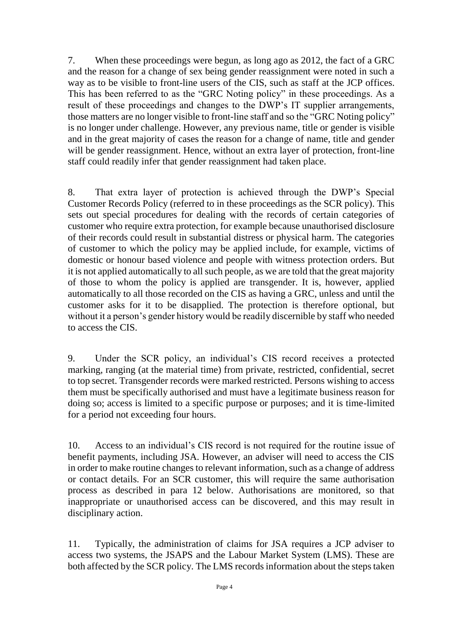7. When these proceedings were begun, as long ago as 2012, the fact of a GRC and the reason for a change of sex being gender reassignment were noted in such a way as to be visible to front-line users of the CIS, such as staff at the JCP offices. This has been referred to as the "GRC Noting policy" in these proceedings. As a result of these proceedings and changes to the DWP's IT supplier arrangements, those matters are no longer visible to front-line staff and so the "GRC Noting policy" is no longer under challenge. However, any previous name, title or gender is visible and in the great majority of cases the reason for a change of name, title and gender will be gender reassignment. Hence, without an extra layer of protection, front-line staff could readily infer that gender reassignment had taken place.

8. That extra layer of protection is achieved through the DWP's Special Customer Records Policy (referred to in these proceedings as the SCR policy). This sets out special procedures for dealing with the records of certain categories of customer who require extra protection, for example because unauthorised disclosure of their records could result in substantial distress or physical harm. The categories of customer to which the policy may be applied include, for example, victims of domestic or honour based violence and people with witness protection orders. But it is not applied automatically to all such people, as we are told that the great majority of those to whom the policy is applied are transgender. It is, however, applied automatically to all those recorded on the CIS as having a GRC, unless and until the customer asks for it to be disapplied. The protection is therefore optional, but without it a person's gender history would be readily discernible by staff who needed to access the CIS.

9. Under the SCR policy, an individual's CIS record receives a protected marking, ranging (at the material time) from private, restricted, confidential, secret to top secret. Transgender records were marked restricted. Persons wishing to access them must be specifically authorised and must have a legitimate business reason for doing so; access is limited to a specific purpose or purposes; and it is time-limited for a period not exceeding four hours.

10. Access to an individual's CIS record is not required for the routine issue of benefit payments, including JSA. However, an adviser will need to access the CIS in order to make routine changes to relevant information, such as a change of address or contact details. For an SCR customer, this will require the same authorisation process as described in para 12 below. Authorisations are monitored, so that inappropriate or unauthorised access can be discovered, and this may result in disciplinary action.

11. Typically, the administration of claims for JSA requires a JCP adviser to access two systems, the JSAPS and the Labour Market System (LMS). These are both affected by the SCR policy. The LMS records information about the steps taken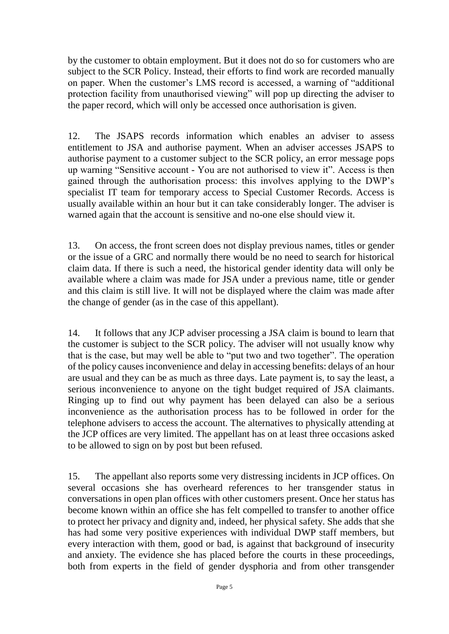by the customer to obtain employment. But it does not do so for customers who are subject to the SCR Policy. Instead, their efforts to find work are recorded manually on paper. When the customer's LMS record is accessed, a warning of "additional protection facility from unauthorised viewing" will pop up directing the adviser to the paper record, which will only be accessed once authorisation is given.

12. The JSAPS records information which enables an adviser to assess entitlement to JSA and authorise payment. When an adviser accesses JSAPS to authorise payment to a customer subject to the SCR policy, an error message pops up warning "Sensitive account - You are not authorised to view it". Access is then gained through the authorisation process: this involves applying to the DWP's specialist IT team for temporary access to Special Customer Records. Access is usually available within an hour but it can take considerably longer. The adviser is warned again that the account is sensitive and no-one else should view it.

13. On access, the front screen does not display previous names, titles or gender or the issue of a GRC and normally there would be no need to search for historical claim data. If there is such a need, the historical gender identity data will only be available where a claim was made for JSA under a previous name, title or gender and this claim is still live. It will not be displayed where the claim was made after the change of gender (as in the case of this appellant).

14. It follows that any JCP adviser processing a JSA claim is bound to learn that the customer is subject to the SCR policy. The adviser will not usually know why that is the case, but may well be able to "put two and two together". The operation of the policy causes inconvenience and delay in accessing benefits: delays of an hour are usual and they can be as much as three days. Late payment is, to say the least, a serious inconvenience to anyone on the tight budget required of JSA claimants. Ringing up to find out why payment has been delayed can also be a serious inconvenience as the authorisation process has to be followed in order for the telephone advisers to access the account. The alternatives to physically attending at the JCP offices are very limited. The appellant has on at least three occasions asked to be allowed to sign on by post but been refused.

15. The appellant also reports some very distressing incidents in JCP offices. On several occasions she has overheard references to her transgender status in conversations in open plan offices with other customers present. Once her status has become known within an office she has felt compelled to transfer to another office to protect her privacy and dignity and, indeed, her physical safety. She adds that she has had some very positive experiences with individual DWP staff members, but every interaction with them, good or bad, is against that background of insecurity and anxiety. The evidence she has placed before the courts in these proceedings, both from experts in the field of gender dysphoria and from other transgender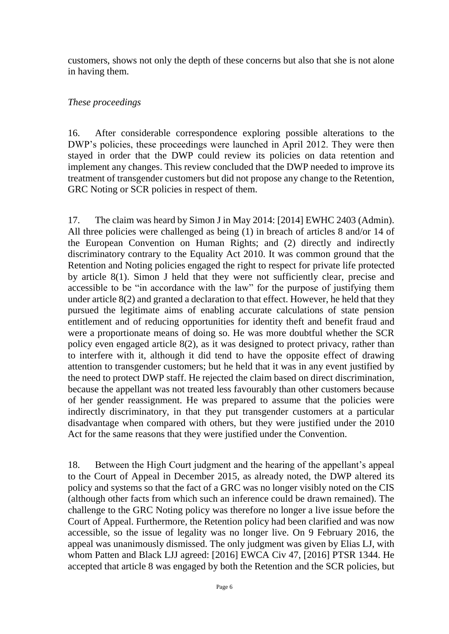customers, shows not only the depth of these concerns but also that she is not alone in having them.

#### *These proceedings*

16. After considerable correspondence exploring possible alterations to the DWP's policies, these proceedings were launched in April 2012. They were then stayed in order that the DWP could review its policies on data retention and implement any changes. This review concluded that the DWP needed to improve its treatment of transgender customers but did not propose any change to the Retention, GRC Noting or SCR policies in respect of them.

17. The claim was heard by Simon J in May 2014: [2014] EWHC 2403 (Admin). All three policies were challenged as being (1) in breach of articles 8 and/or 14 of the European Convention on Human Rights; and (2) directly and indirectly discriminatory contrary to the Equality Act 2010. It was common ground that the Retention and Noting policies engaged the right to respect for private life protected by article 8(1). Simon J held that they were not sufficiently clear, precise and accessible to be "in accordance with the law" for the purpose of justifying them under article 8(2) and granted a declaration to that effect. However, he held that they pursued the legitimate aims of enabling accurate calculations of state pension entitlement and of reducing opportunities for identity theft and benefit fraud and were a proportionate means of doing so. He was more doubtful whether the SCR policy even engaged article 8(2), as it was designed to protect privacy, rather than to interfere with it, although it did tend to have the opposite effect of drawing attention to transgender customers; but he held that it was in any event justified by the need to protect DWP staff. He rejected the claim based on direct discrimination, because the appellant was not treated less favourably than other customers because of her gender reassignment. He was prepared to assume that the policies were indirectly discriminatory, in that they put transgender customers at a particular disadvantage when compared with others, but they were justified under the 2010 Act for the same reasons that they were justified under the Convention.

18. Between the High Court judgment and the hearing of the appellant's appeal to the Court of Appeal in December 2015, as already noted, the DWP altered its policy and systems so that the fact of a GRC was no longer visibly noted on the CIS (although other facts from which such an inference could be drawn remained). The challenge to the GRC Noting policy was therefore no longer a live issue before the Court of Appeal. Furthermore, the Retention policy had been clarified and was now accessible, so the issue of legality was no longer live. On 9 February 2016, the appeal was unanimously dismissed. The only judgment was given by Elias LJ, with whom Patten and Black LJJ agreed: [2016] EWCA Civ 47, [2016] PTSR 1344. He accepted that article 8 was engaged by both the Retention and the SCR policies, but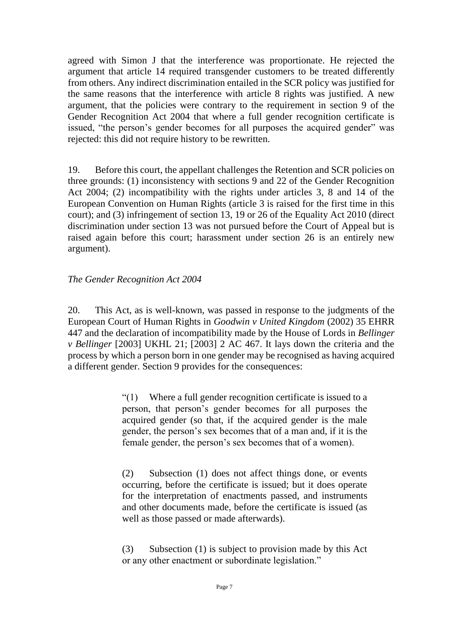agreed with Simon J that the interference was proportionate. He rejected the argument that article 14 required transgender customers to be treated differently from others. Any indirect discrimination entailed in the SCR policy was justified for the same reasons that the interference with article 8 rights was justified. A new argument, that the policies were contrary to the requirement in section 9 of the Gender Recognition Act 2004 that where a full gender recognition certificate is issued, "the person's gender becomes for all purposes the acquired gender" was rejected: this did not require history to be rewritten.

19. Before this court, the appellant challenges the Retention and SCR policies on three grounds: (1) inconsistency with sections 9 and 22 of the Gender Recognition Act 2004; (2) incompatibility with the rights under articles 3, 8 and 14 of the European Convention on Human Rights (article 3 is raised for the first time in this court); and (3) infringement of section 13, 19 or 26 of the Equality Act 2010 (direct discrimination under section 13 was not pursued before the Court of Appeal but is raised again before this court; harassment under section 26 is an entirely new argument).

#### *The Gender Recognition Act 2004*

20. This Act, as is well-known, was passed in response to the judgments of the European Court of Human Rights in *Goodwin v United Kingdom* (2002) 35 EHRR 447 and the declaration of incompatibility made by the House of Lords in *Bellinger v Bellinger* [2003] UKHL 21; [2003] 2 AC 467. It lays down the criteria and the process by which a person born in one gender may be recognised as having acquired a different gender. Section 9 provides for the consequences:

> $\degree$ (1) Where a full gender recognition certificate is issued to a person, that person's gender becomes for all purposes the acquired gender (so that, if the acquired gender is the male gender, the person's sex becomes that of a man and, if it is the female gender, the person's sex becomes that of a women).

> (2) Subsection (1) does not affect things done, or events occurring, before the certificate is issued; but it does operate for the interpretation of enactments passed, and instruments and other documents made, before the certificate is issued (as well as those passed or made afterwards).

> (3) Subsection (1) is subject to provision made by this Act or any other enactment or subordinate legislation."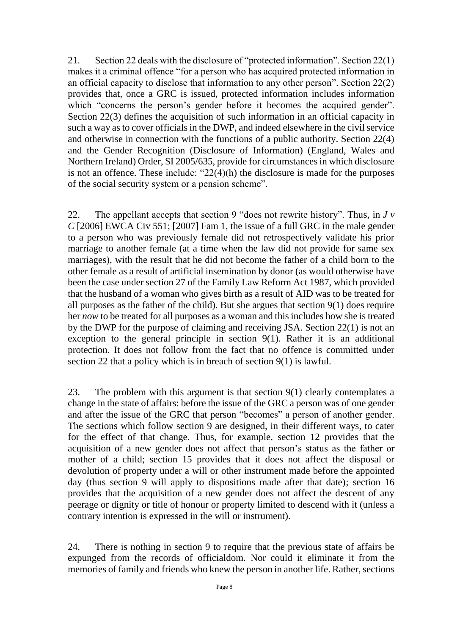21. Section 22 deals with the disclosure of "protected information". Section 22(1) makes it a criminal offence "for a person who has acquired protected information in an official capacity to disclose that information to any other person". Section 22(2) provides that, once a GRC is issued, protected information includes information which "concerns the person's gender before it becomes the acquired gender". Section 22(3) defines the acquisition of such information in an official capacity in such a way as to cover officials in the DWP, and indeed elsewhere in the civil service and otherwise in connection with the functions of a public authority. Section 22(4) and the Gender Recognition (Disclosure of Information) (England, Wales and Northern Ireland) Order, SI 2005/635, provide for circumstances in which disclosure is not an offence. These include: " $22(4)(h)$  the disclosure is made for the purposes of the social security system or a pension scheme".

22. The appellant accepts that section 9 "does not rewrite history". Thus, in *J v C* [2006] EWCA Civ 551; [2007] Fam 1, the issue of a full GRC in the male gender to a person who was previously female did not retrospectively validate his prior marriage to another female (at a time when the law did not provide for same sex marriages), with the result that he did not become the father of a child born to the other female as a result of artificial insemination by donor (as would otherwise have been the case under section 27 of the Family Law Reform Act 1987, which provided that the husband of a woman who gives birth as a result of AID was to be treated for all purposes as the father of the child). But she argues that section 9(1) does require her *now* to be treated for all purposes as a woman and this includes how she is treated by the DWP for the purpose of claiming and receiving JSA. Section 22(1) is not an exception to the general principle in section 9(1). Rather it is an additional protection. It does not follow from the fact that no offence is committed under section 22 that a policy which is in breach of section 9(1) is lawful.

23. The problem with this argument is that section 9(1) clearly contemplates a change in the state of affairs: before the issue of the GRC a person was of one gender and after the issue of the GRC that person "becomes" a person of another gender. The sections which follow section 9 are designed, in their different ways, to cater for the effect of that change. Thus, for example, section 12 provides that the acquisition of a new gender does not affect that person's status as the father or mother of a child; section 15 provides that it does not affect the disposal or devolution of property under a will or other instrument made before the appointed day (thus section 9 will apply to dispositions made after that date); section 16 provides that the acquisition of a new gender does not affect the descent of any peerage or dignity or title of honour or property limited to descend with it (unless a contrary intention is expressed in the will or instrument).

24. There is nothing in section 9 to require that the previous state of affairs be expunged from the records of officialdom. Nor could it eliminate it from the memories of family and friends who knew the person in another life. Rather, sections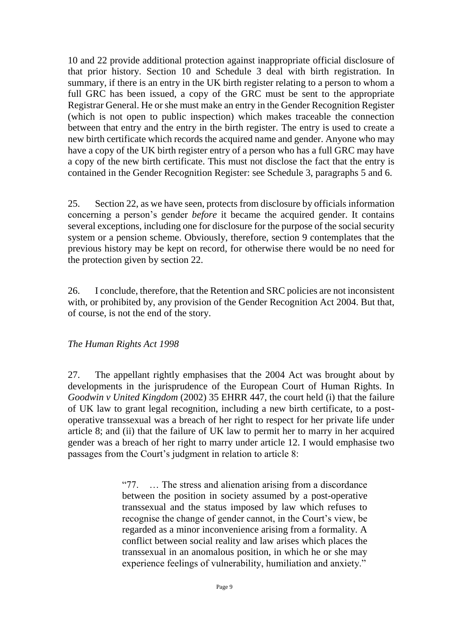10 and 22 provide additional protection against inappropriate official disclosure of that prior history. Section 10 and Schedule 3 deal with birth registration. In summary, if there is an entry in the UK birth register relating to a person to whom a full GRC has been issued, a copy of the GRC must be sent to the appropriate Registrar General. He or she must make an entry in the Gender Recognition Register (which is not open to public inspection) which makes traceable the connection between that entry and the entry in the birth register. The entry is used to create a new birth certificate which records the acquired name and gender. Anyone who may have a copy of the UK birth register entry of a person who has a full GRC may have a copy of the new birth certificate. This must not disclose the fact that the entry is contained in the Gender Recognition Register: see Schedule 3, paragraphs 5 and 6.

25. Section 22, as we have seen, protects from disclosure by officials information concerning a person's gender *before* it became the acquired gender. It contains several exceptions, including one for disclosure for the purpose of the social security system or a pension scheme. Obviously, therefore, section 9 contemplates that the previous history may be kept on record, for otherwise there would be no need for the protection given by section 22.

26. I conclude, therefore, that the Retention and SRC policies are not inconsistent with, or prohibited by, any provision of the Gender Recognition Act 2004. But that, of course, is not the end of the story.

# *The Human Rights Act 1998*

27. The appellant rightly emphasises that the 2004 Act was brought about by developments in the jurisprudence of the European Court of Human Rights. In *Goodwin v United Kingdom* (2002) 35 EHRR 447, the court held (i) that the failure of UK law to grant legal recognition, including a new birth certificate, to a postoperative transsexual was a breach of her right to respect for her private life under article 8; and (ii) that the failure of UK law to permit her to marry in her acquired gender was a breach of her right to marry under article 12. I would emphasise two passages from the Court's judgment in relation to article 8:

> "77. … The stress and alienation arising from a discordance between the position in society assumed by a post-operative transsexual and the status imposed by law which refuses to recognise the change of gender cannot, in the Court's view, be regarded as a minor inconvenience arising from a formality. A conflict between social reality and law arises which places the transsexual in an anomalous position, in which he or she may experience feelings of vulnerability, humiliation and anxiety."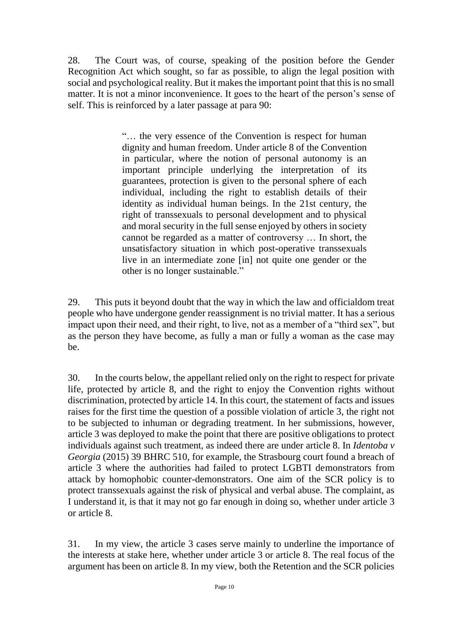28. The Court was, of course, speaking of the position before the Gender Recognition Act which sought, so far as possible, to align the legal position with social and psychological reality. But it makes the important point that this is no small matter. It is not a minor inconvenience. It goes to the heart of the person's sense of self. This is reinforced by a later passage at para 90:

> "… the very essence of the Convention is respect for human dignity and human freedom. Under article 8 of the Convention in particular, where the notion of personal autonomy is an important principle underlying the interpretation of its guarantees, protection is given to the personal sphere of each individual, including the right to establish details of their identity as individual human beings. In the 21st century, the right of transsexuals to personal development and to physical and moral security in the full sense enjoyed by others in society cannot be regarded as a matter of controversy … In short, the unsatisfactory situation in which post-operative transsexuals live in an intermediate zone [in] not quite one gender or the other is no longer sustainable."

29. This puts it beyond doubt that the way in which the law and officialdom treat people who have undergone gender reassignment is no trivial matter. It has a serious impact upon their need, and their right, to live, not as a member of a "third sex", but as the person they have become, as fully a man or fully a woman as the case may be.

30. In the courts below, the appellant relied only on the right to respect for private life, protected by article 8, and the right to enjoy the Convention rights without discrimination, protected by article 14. In this court, the statement of facts and issues raises for the first time the question of a possible violation of article 3, the right not to be subjected to inhuman or degrading treatment. In her submissions, however, article 3 was deployed to make the point that there are positive obligations to protect individuals against such treatment, as indeed there are under article 8. In *Identoba v Georgia* (2015) 39 BHRC 510, for example, the Strasbourg court found a breach of article 3 where the authorities had failed to protect LGBTI demonstrators from attack by homophobic counter-demonstrators. One aim of the SCR policy is to protect transsexuals against the risk of physical and verbal abuse. The complaint, as I understand it, is that it may not go far enough in doing so, whether under article 3 or article 8.

31. In my view, the article 3 cases serve mainly to underline the importance of the interests at stake here, whether under article 3 or article 8. The real focus of the argument has been on article 8. In my view, both the Retention and the SCR policies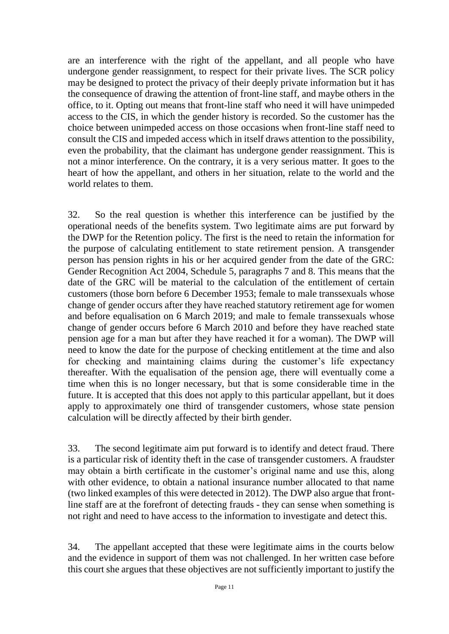are an interference with the right of the appellant, and all people who have undergone gender reassignment, to respect for their private lives. The SCR policy may be designed to protect the privacy of their deeply private information but it has the consequence of drawing the attention of front-line staff, and maybe others in the office, to it. Opting out means that front-line staff who need it will have unimpeded access to the CIS, in which the gender history is recorded. So the customer has the choice between unimpeded access on those occasions when front-line staff need to consult the CIS and impeded access which in itself draws attention to the possibility, even the probability, that the claimant has undergone gender reassignment. This is not a minor interference. On the contrary, it is a very serious matter. It goes to the heart of how the appellant, and others in her situation, relate to the world and the world relates to them.

32. So the real question is whether this interference can be justified by the operational needs of the benefits system. Two legitimate aims are put forward by the DWP for the Retention policy. The first is the need to retain the information for the purpose of calculating entitlement to state retirement pension. A transgender person has pension rights in his or her acquired gender from the date of the GRC: Gender Recognition Act 2004, Schedule 5, paragraphs 7 and 8. This means that the date of the GRC will be material to the calculation of the entitlement of certain customers (those born before 6 December 1953; female to male transsexuals whose change of gender occurs after they have reached statutory retirement age for women and before equalisation on 6 March 2019; and male to female transsexuals whose change of gender occurs before 6 March 2010 and before they have reached state pension age for a man but after they have reached it for a woman). The DWP will need to know the date for the purpose of checking entitlement at the time and also for checking and maintaining claims during the customer's life expectancy thereafter. With the equalisation of the pension age, there will eventually come a time when this is no longer necessary, but that is some considerable time in the future. It is accepted that this does not apply to this particular appellant, but it does apply to approximately one third of transgender customers, whose state pension calculation will be directly affected by their birth gender.

33. The second legitimate aim put forward is to identify and detect fraud. There is a particular risk of identity theft in the case of transgender customers. A fraudster may obtain a birth certificate in the customer's original name and use this, along with other evidence, to obtain a national insurance number allocated to that name (two linked examples of this were detected in 2012). The DWP also argue that frontline staff are at the forefront of detecting frauds - they can sense when something is not right and need to have access to the information to investigate and detect this.

34. The appellant accepted that these were legitimate aims in the courts below and the evidence in support of them was not challenged. In her written case before this court she argues that these objectives are not sufficiently important to justify the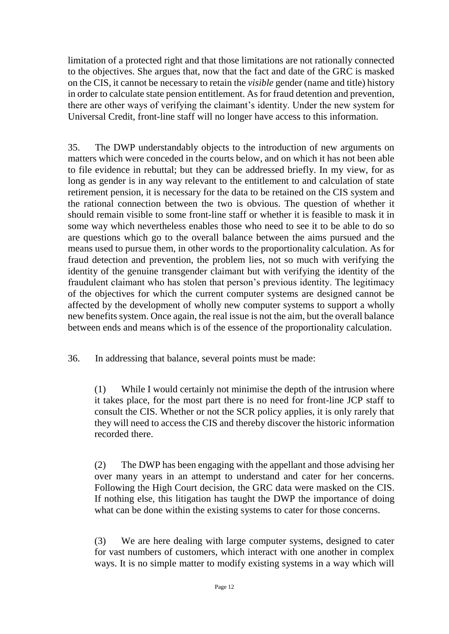limitation of a protected right and that those limitations are not rationally connected to the objectives. She argues that, now that the fact and date of the GRC is masked on the CIS, it cannot be necessary to retain the *visible* gender (name and title) history in order to calculate state pension entitlement. As for fraud detention and prevention, there are other ways of verifying the claimant's identity. Under the new system for Universal Credit, front-line staff will no longer have access to this information.

35. The DWP understandably objects to the introduction of new arguments on matters which were conceded in the courts below, and on which it has not been able to file evidence in rebuttal; but they can be addressed briefly. In my view, for as long as gender is in any way relevant to the entitlement to and calculation of state retirement pension, it is necessary for the data to be retained on the CIS system and the rational connection between the two is obvious. The question of whether it should remain visible to some front-line staff or whether it is feasible to mask it in some way which nevertheless enables those who need to see it to be able to do so are questions which go to the overall balance between the aims pursued and the means used to pursue them, in other words to the proportionality calculation. As for fraud detection and prevention, the problem lies, not so much with verifying the identity of the genuine transgender claimant but with verifying the identity of the fraudulent claimant who has stolen that person's previous identity. The legitimacy of the objectives for which the current computer systems are designed cannot be affected by the development of wholly new computer systems to support a wholly new benefits system. Once again, the real issue is not the aim, but the overall balance between ends and means which is of the essence of the proportionality calculation.

36. In addressing that balance, several points must be made:

(1) While I would certainly not minimise the depth of the intrusion where it takes place, for the most part there is no need for front-line JCP staff to consult the CIS. Whether or not the SCR policy applies, it is only rarely that they will need to access the CIS and thereby discover the historic information recorded there.

(2) The DWP has been engaging with the appellant and those advising her over many years in an attempt to understand and cater for her concerns. Following the High Court decision, the GRC data were masked on the CIS. If nothing else, this litigation has taught the DWP the importance of doing what can be done within the existing systems to cater for those concerns.

(3) We are here dealing with large computer systems, designed to cater for vast numbers of customers, which interact with one another in complex ways. It is no simple matter to modify existing systems in a way which will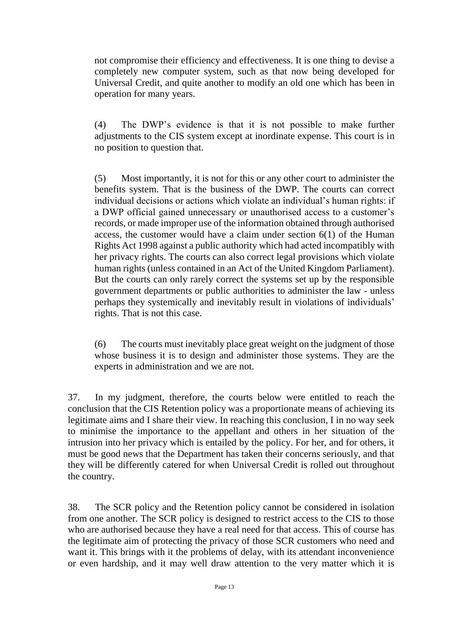not compromise their efficiency and effectiveness. It is one thing to devise a completely new computer system, such as that now being developed for Universal Credit, and quite another to modify an old one which has been in operation for many years.

(4) The DWP's evidence is that it is not possible to make further adjustments to the CIS system except at inordinate expense. This court is in no position to question that.

(5) Most importantly, it is not for this or any other court to administer the benefits system. That is the business of the DWP. The courts can correct individual decisions or actions which violate an individual's human rights: if a DWP official gained unnecessary or unauthorised access to a customer's records, or made improper use of the information obtained through authorised access, the customer would have a claim under section 6(1) of the Human Rights Act 1998 against a public authority which had acted incompatibly with her privacy rights. The courts can also correct legal provisions which violate human rights (unless contained in an Act of the United Kingdom Parliament). But the courts can only rarely correct the systems set up by the responsible government departments or public authorities to administer the law - unless perhaps they systemically and inevitably result in violations of individuals' rights. That is not this case.

(6) The courts must inevitably place great weight on the judgment of those whose business it is to design and administer those systems. They are the experts in administration and we are not.

37. In my judgment, therefore, the courts below were entitled to reach the conclusion that the CIS Retention policy was a proportionate means of achieving its legitimate aims and I share their view. In reaching this conclusion, I in no way seek to minimise the importance to the appellant and others in her situation of the intrusion into her privacy which is entailed by the policy. For her, and for others, it must be good news that the Department has taken their concerns seriously, and that they will be differently catered for when Universal Credit is rolled out throughout the country.

38. The SCR policy and the Retention policy cannot be considered in isolation from one another. The SCR policy is designed to restrict access to the CIS to those who are authorised because they have a real need for that access. This of course has the legitimate aim of protecting the privacy of those SCR customers who need and want it. This brings with it the problems of delay, with its attendant inconvenience or even hardship, and it may well draw attention to the very matter which it is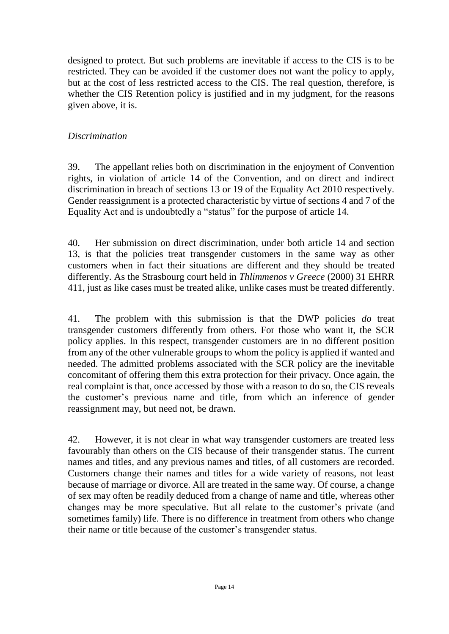designed to protect. But such problems are inevitable if access to the CIS is to be restricted. They can be avoided if the customer does not want the policy to apply, but at the cost of less restricted access to the CIS. The real question, therefore, is whether the CIS Retention policy is justified and in my judgment, for the reasons given above, it is.

## *Discrimination*

39. The appellant relies both on discrimination in the enjoyment of Convention rights, in violation of article 14 of the Convention, and on direct and indirect discrimination in breach of sections 13 or 19 of the Equality Act 2010 respectively. Gender reassignment is a protected characteristic by virtue of sections 4 and 7 of the Equality Act and is undoubtedly a "status" for the purpose of article 14.

40. Her submission on direct discrimination, under both article 14 and section 13, is that the policies treat transgender customers in the same way as other customers when in fact their situations are different and they should be treated differently. As the Strasbourg court held in *Thlimmenos v Greece* (2000) 31 EHRR 411, just as like cases must be treated alike, unlike cases must be treated differently.

41. The problem with this submission is that the DWP policies *do* treat transgender customers differently from others. For those who want it, the SCR policy applies. In this respect, transgender customers are in no different position from any of the other vulnerable groups to whom the policy is applied if wanted and needed. The admitted problems associated with the SCR policy are the inevitable concomitant of offering them this extra protection for their privacy. Once again, the real complaint is that, once accessed by those with a reason to do so, the CIS reveals the customer's previous name and title, from which an inference of gender reassignment may, but need not, be drawn.

42. However, it is not clear in what way transgender customers are treated less favourably than others on the CIS because of their transgender status. The current names and titles, and any previous names and titles, of all customers are recorded. Customers change their names and titles for a wide variety of reasons, not least because of marriage or divorce. All are treated in the same way. Of course, a change of sex may often be readily deduced from a change of name and title, whereas other changes may be more speculative. But all relate to the customer's private (and sometimes family) life. There is no difference in treatment from others who change their name or title because of the customer's transgender status.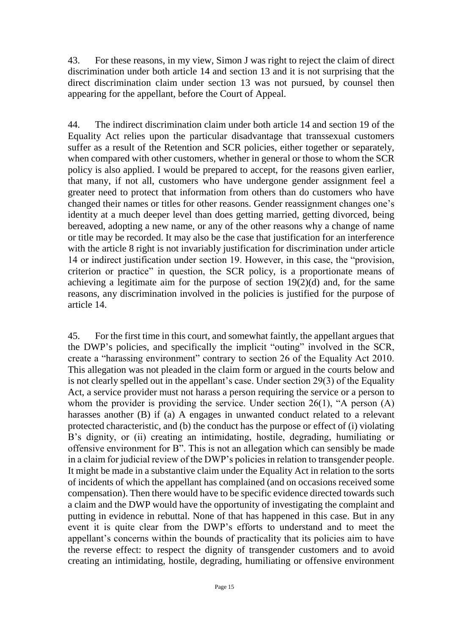43. For these reasons, in my view, Simon J was right to reject the claim of direct discrimination under both article 14 and section 13 and it is not surprising that the direct discrimination claim under section 13 was not pursued, by counsel then appearing for the appellant, before the Court of Appeal.

44. The indirect discrimination claim under both article 14 and section 19 of the Equality Act relies upon the particular disadvantage that transsexual customers suffer as a result of the Retention and SCR policies, either together or separately, when compared with other customers, whether in general or those to whom the SCR policy is also applied. I would be prepared to accept, for the reasons given earlier, that many, if not all, customers who have undergone gender assignment feel a greater need to protect that information from others than do customers who have changed their names or titles for other reasons. Gender reassignment changes one's identity at a much deeper level than does getting married, getting divorced, being bereaved, adopting a new name, or any of the other reasons why a change of name or title may be recorded. It may also be the case that justification for an interference with the article 8 right is not invariably justification for discrimination under article 14 or indirect justification under section 19. However, in this case, the "provision, criterion or practice" in question, the SCR policy, is a proportionate means of achieving a legitimate aim for the purpose of section  $19(2)(d)$  and, for the same reasons, any discrimination involved in the policies is justified for the purpose of article 14.

45. For the first time in this court, and somewhat faintly, the appellant argues that the DWP's policies, and specifically the implicit "outing" involved in the SCR, create a "harassing environment" contrary to section 26 of the Equality Act 2010. This allegation was not pleaded in the claim form or argued in the courts below and is not clearly spelled out in the appellant's case. Under section 29(3) of the Equality Act, a service provider must not harass a person requiring the service or a person to whom the provider is providing the service. Under section 26(1), "A person (A) harasses another (B) if (a) A engages in unwanted conduct related to a relevant protected characteristic, and (b) the conduct has the purpose or effect of (i) violating B's dignity, or (ii) creating an intimidating, hostile, degrading, humiliating or offensive environment for B". This is not an allegation which can sensibly be made in a claim for judicial review of the DWP's policies in relation to transgender people. It might be made in a substantive claim under the Equality Act in relation to the sorts of incidents of which the appellant has complained (and on occasions received some compensation). Then there would have to be specific evidence directed towards such a claim and the DWP would have the opportunity of investigating the complaint and putting in evidence in rebuttal. None of that has happened in this case. But in any event it is quite clear from the DWP's efforts to understand and to meet the appellant's concerns within the bounds of practicality that its policies aim to have the reverse effect: to respect the dignity of transgender customers and to avoid creating an intimidating, hostile, degrading, humiliating or offensive environment